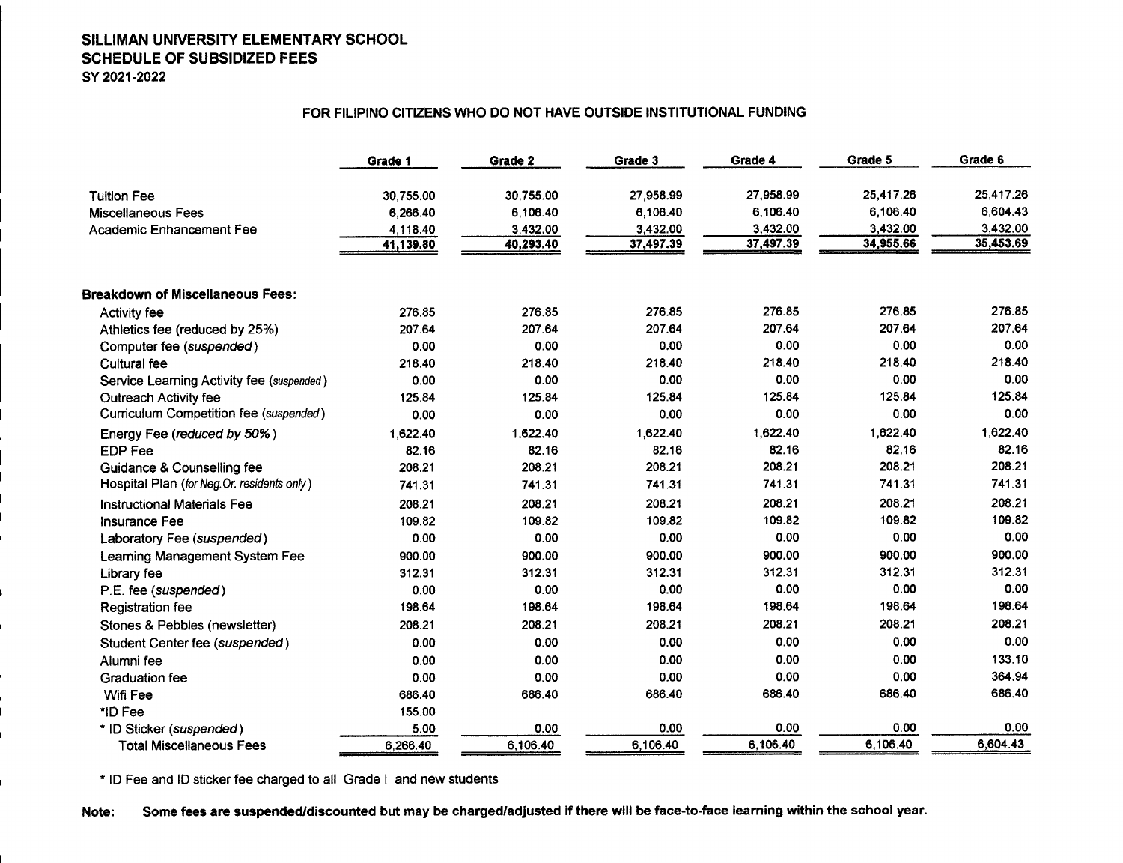## SILLIMAN UNIVERSITY ELEMENTARY SCHOOL SCHEDULE OF SUBSIDIZED FEES SY 2021-2022

## FOR FILIPINO CITIZENS WHO DO NOT HAVE OUTSIDE INSTITUTIONAL FUNDING

|                                             | Grade 1   | Grade 2   | Grade 3   | Grade 4   | Grade 5   | Grade 6   |
|---------------------------------------------|-----------|-----------|-----------|-----------|-----------|-----------|
| <b>Tuition Fee</b>                          | 30,755.00 | 30,755.00 | 27,958.99 | 27,958.99 | 25,417.26 | 25,417.26 |
| <b>Miscellaneous Fees</b>                   | 6,266.40  | 6,106.40  | 6,106.40  | 6,106.40  | 6,106.40  | 6,604.43  |
| Academic Enhancement Fee                    | 4,118.40  | 3,432.00  | 3,432.00  | 3,432.00  | 3,432.00  | 3,432.00  |
|                                             | 41,139.80 | 40,293.40 | 37,497.39 | 37,497.39 | 34,955.66 | 35,453.69 |
| <b>Breakdown of Miscellaneous Fees:</b>     |           |           |           |           |           |           |
| <b>Activity fee</b>                         | 276.85    | 276.85    | 276.85    | 276.85    | 276.85    | 276.85    |
| Athletics fee (reduced by 25%)              | 207.64    | 207.64    | 207.64    | 207.64    | 207.64    | 207.64    |
| Computer fee (suspended)                    | 0.00      | 0.00      | 0.00      | 0.00      | 0.00      | 0.00      |
| <b>Cultural fee</b>                         | 218.40    | 218.40    | 218.40    | 218.40    | 218.40    | 218.40    |
| Service Learning Activity fee (suspended)   | 0.00      | 0.00      | 0.00      | 0.00      | 0.00      | 0.00      |
| <b>Outreach Activity fee</b>                | 125.84    | 125.84    | 125.84    | 125.84    | 125.84    | 125.84    |
| Curriculum Competition fee (suspended)      | 0.00      | 0.00      | 0.00      | 0.00      | 0.00      | 0.00      |
| Energy Fee (reduced by 50%)                 | 1,622.40  | 1.622.40  | 1,622.40  | 1.622.40  | 1,622.40  | 1,622.40  |
| <b>EDP Fee</b>                              | 82.16     | 82.16     | 82.16     | 82.16     | 82.16     | 82.16     |
| Guidance & Counselling fee                  | 208.21    | 208.21    | 208.21    | 208.21    | 208.21    | 208.21    |
| Hospital Plan (for Neg. Or. residents only) | 741.31    | 741.31    | 741.31    | 741.31    | 741.31    | 741.31    |
| <b>Instructional Materials Fee</b>          | 208.21    | 208.21    | 208.21    | 208.21    | 208.21    | 208.21    |
| <b>Insurance Fee</b>                        | 109.82    | 109.82    | 109.82    | 109.82    | 109.82    | 109.82    |
| Laboratory Fee (suspended)                  | 0.00      | 0.00      | 0.00      | 0.00      | 0.00      | 0.00      |
| Learning Management System Fee              | 900.00    | 900.00    | 900.00    | 900.00    | 900.00    | 900.00    |
| Library fee                                 | 312.31    | 312.31    | 312.31    | 312.31    | 312.31    | 312.31    |
| P.E. fee (suspended)                        | 0.00      | 0.00      | 0.00      | 0.00      | 0.00      | 0.00      |
| <b>Registration fee</b>                     | 198.64    | 198,64    | 198.64    | 198.64    | 198.64    | 198.64    |
| Stones & Pebbles (newsletter)               | 208.21    | 208.21    | 208.21    | 208.21    | 208.21    | 208.21    |
| Student Center fee (suspended)              | 0.00      | 0.00      | 0.00      | 0.00      | 0.00      | 0.00      |
| Alumni fee                                  | 0.00      | 0.00      | 0.00      | 0.00      | 0.00      | 133.10    |
| <b>Graduation fee</b>                       | 0.00      | 0.00      | 0.00      | 0.00      | 0.00      | 364.94    |
| Wifi Fee                                    | 686.40    | 686.40    | 686.40    | 686.40    | 686.40    | 686.40    |
| *ID Fee                                     | 155.00    |           |           |           |           |           |
| * ID Sticker (suspended)                    | 5.00      | 0.00      | 0.00      | 0.00      | 0.00      | 0.00      |
| <b>Total Miscellaneous Fees</b>             | 6,266.40  | 6,106.40  | 6,106.40  | 6,106.40  | 6,106.40  | 6,604.43  |

\* 10 Fee and 10 sticker fee charged to all Grade I and new students

Note: Some fees are suspended/discounted but may be charged/adjusted if there will be face-to-face learning within the school year.